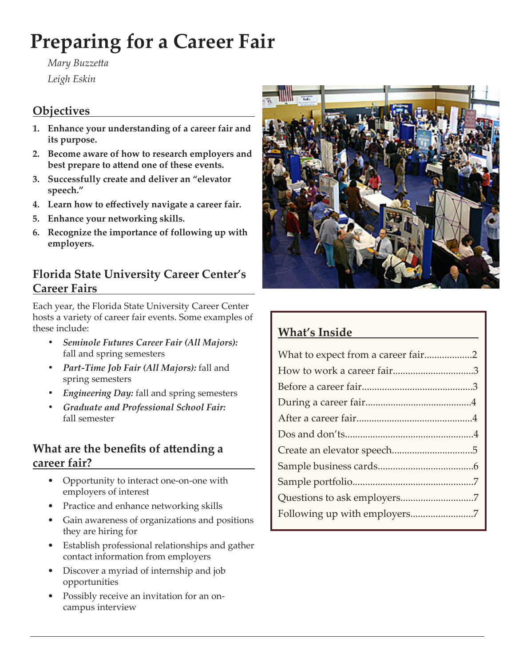# **Preparing for a Career Fair**

*Mary Buzzetta Leigh Eskin*

#### **Objectives**

- **1. Enhance your understanding of a career fair and its purpose.**
- **2. Become aware of how to research employers and best prepare to attend one of these events.**
- **3. Successfully create and deliver an "elevator speech."**
- **4. Learn how to effectively navigate a career fair.**
- **5. Enhance your networking skills.**
- **6. Recognize the importance of following up with employers.**

#### **Florida State University Career Center's Career Fairs**

Each year, the Florida State University Career Center hosts a variety of career fair events. Some examples of these include:

- *• Seminole Futures Career Fair (All Majors):*  fall and spring semesters
- *• Part-Time Job Fair (All Majors):* fall and spring semesters
- *• Engineering Day:* fall and spring semesters
- *• Graduate and Professional School Fair:*  fall semester

#### **What are the benefits of attending a career fair?**

- • Opportunity to interact one-on-one with employers of interest
- Practice and enhance networking skills
- • Gain awareness of organizations and positions they are hiring for
- • Establish professional relationships and gather contact information from employers
- • Discover a myriad of internship and job opportunities
- Possibly receive an invitation for an oncampus interview



# **What's Inside**

| What to expect from a career fair2 |  |
|------------------------------------|--|
|                                    |  |
|                                    |  |
|                                    |  |
|                                    |  |
|                                    |  |
|                                    |  |
|                                    |  |
|                                    |  |
|                                    |  |
|                                    |  |
|                                    |  |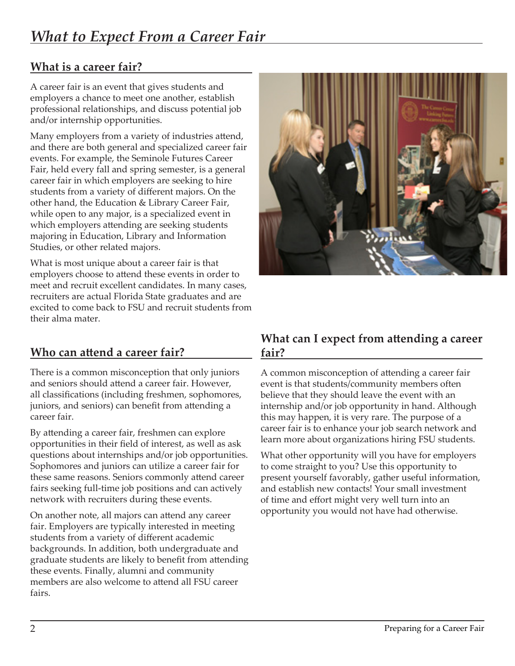## **What is a career fair?**

A career fair is an event that gives students and employers a chance to meet one another, establish professional relationships, and discuss potential job and/or internship opportunities.

Many employers from a variety of industries attend, and there are both general and specialized career fair events. For example, the Seminole Futures Career Fair, held every fall and spring semester, is a general career fair in which employers are seeking to hire students from a variety of different majors. On the other hand, the Education & Library Career Fair, while open to any major, is a specialized event in which employers attending are seeking students majoring in Education, Library and Information Studies, or other related majors.

What is most unique about a career fair is that employers choose to attend these events in order to meet and recruit excellent candidates. In many cases, recruiters are actual Florida State graduates and are excited to come back to FSU and recruit students from their alma mater.

## **Who can attend a career fair?**

There is a common misconception that only juniors and seniors should attend a career fair. However, all classifications (including freshmen, sophomores, juniors, and seniors) can benefit from attending a career fair.

By attending a career fair, freshmen can explore opportunities in their field of interest, as well as ask questions about internships and/or job opportunities. Sophomores and juniors can utilize a career fair for these same reasons. Seniors commonly attend career fairs seeking full-time job positions and can actively network with recruiters during these events.

On another note, all majors can attend any career fair. Employers are typically interested in meeting students from a variety of different academic backgrounds. In addition, both undergraduate and graduate students are likely to benefit from attending these events. Finally, alumni and community members are also welcome to attend all FSU career fairs.



#### **What can I expect from attending a career fair?**

A common misconception of attending a career fair event is that students/community members often believe that they should leave the event with an internship and/or job opportunity in hand. Although this may happen, it is very rare. The purpose of a career fair is to enhance your job search network and learn more about organizations hiring FSU students.

What other opportunity will you have for employers to come straight to you? Use this opportunity to present yourself favorably, gather useful information, and establish new contacts! Your small investment of time and effort might very well turn into an opportunity you would not have had otherwise.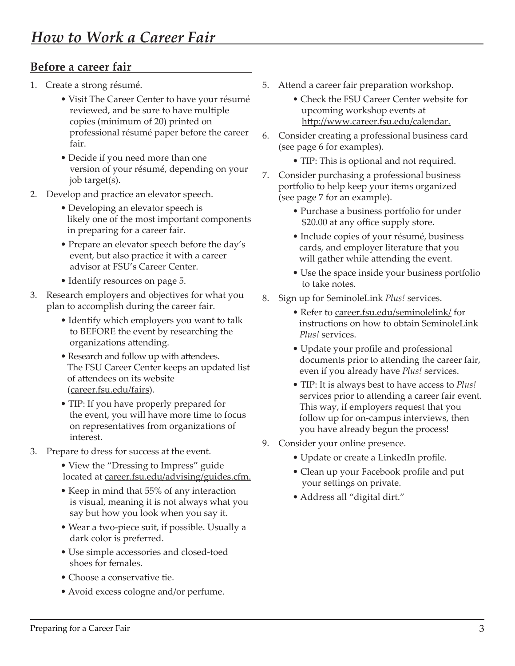#### **Before a career fair**

- 1. Create a strong résumé.
	- Visit The Career Center to have your résumé reviewed, and be sure to have multiple copies (minimum of 20) printed on professional résumé paper before the career fair.
	- Decide if you need more than one version of your résumé, depending on your job target(s).
- 2. Develop and practice an elevator speech.
	- Developing an elevator speech is likely one of the most important components in preparing for a career fair.
	- Prepare an elevator speech before the day's event, but also practice it with a career advisor at FSU's Career Center.
	- Identify resources on page 5.
- 3. Research employers and objectives for what you plan to accomplish during the career fair.
	- Identify which employers you want to talk to BEFORE the event by researching the organizations attending.
	- Research and follow up with attendees. The FSU Career Center keeps an updated list of attendees on its website (career.fsu.edu/fairs).
	- TIP: If you have properly prepared for the event, you will have more time to focus on representatives from organizations of interest.
- 3. Prepare to dress for success at the event.
	- View the "Dressing to Impress" guide located at <u>career.fsu.edu/advising/guides.cfm.</u>
	- Keep in mind that 55% of any interaction is visual, meaning it is not always what you say but how you look when you say it.
	- Wear a two-piece suit, if possible. Usually a dark color is preferred.
	- Use simple accessories and closed-toed shoes for females.
	- Choose a conservative tie.
	- Avoid excess cologne and/or perfume.
- 5. Attend a career fair preparation workshop.
	- Check the FSU Career Center website for upcoming workshop events at http://www.career.fsu.edu/calendar.
- 6. Consider creating a professional business card (see page 6 for examples).
	- TIP: This is optional and not required.
- 7. Consider purchasing a professional business portfolio to help keep your items organized (see page 7 for an example).
	- Purchase a business portfolio for under \$20.00 at any office supply store.
	- Include copies of your résumé, business cards, and employer literature that you will gather while attending the event.
	- Use the space inside your business portfolio to take notes.
- 8. Sign up for SeminoleLink *Plus!* services.
	- Refer to career.fsu.edu/seminolelink/ for instructions on how to obtain SeminoleLink *Plus!* services.
	- Update your profile and professional documents prior to attending the career fair, even if you already have *Plus!* services.
	- TIP: It is always best to have access to *Plus!* services prior to attending a career fair event. This way, if employers request that you follow up for on-campus interviews, then you have already begun the process!
- 9. Consider your online presence.
	- Update or create a LinkedIn profile.
	- Clean up your Facebook profile and put your settings on private.
	- Address all "digital dirt."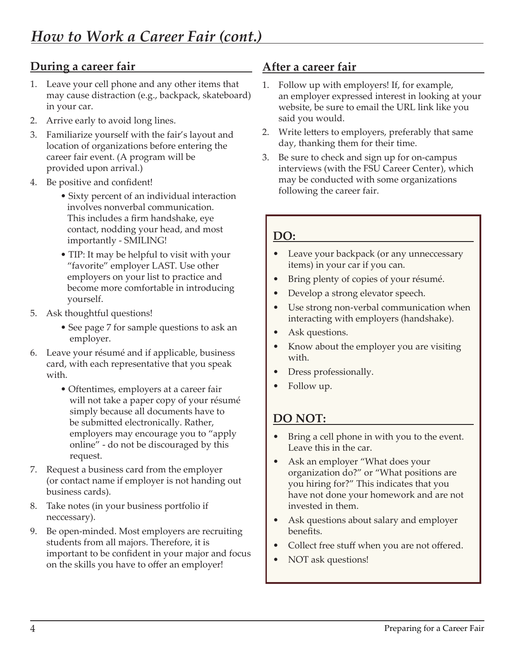#### **During a career fair**

- 1. Leave your cell phone and any other items that may cause distraction (e.g., backpack, skateboard) in your car.
- 2. Arrive early to avoid long lines.
- 3. Familiarize yourself with the fair's layout and location of organizations before entering the career fair event. (A program will be provided upon arrival.)
- 4. Be positive and confident!
	- Sixty percent of an individual interaction involves nonverbal communication. This includes a firm handshake, eye contact, nodding your head, and most importantly - SMILING!
	- TIP: It may be helpful to visit with your "favorite" employer LAST. Use other employers on your list to practice and become more comfortable in introducing yourself.
- 5. Ask thoughtful questions!
	- See page 7 for sample questions to ask an employer.
- 6. Leave your résumé and if applicable, business card, with each representative that you speak with.
	- Oftentimes, employers at a career fair will not take a paper copy of your résumé simply because all documents have to be submitted electronically. Rather, employers may encourage you to "apply online" - do not be discouraged by this request.
- 7. Request a business card from the employer (or contact name if employer is not handing out business cards).
- 8. Take notes (in your business portfolio if neccessary).
- 9. Be open-minded. Most employers are recruiting students from all majors. Therefore, it is important to be confident in your major and focus on the skills you have to offer an employer!

#### **After a career fair**

- 1. Follow up with employers! If, for example, an employer expressed interest in looking at your website, be sure to email the URL link like you said you would.
- 2. Write letters to employers, preferably that same day, thanking them for their time.
- 3. Be sure to check and sign up for on-campus interviews (with the FSU Career Center), which may be conducted with some organizations following the career fair.

#### **DO:**

- Leave your backpack (or any unneccessary items) in your car if you can.
- Bring plenty of copies of your résumé.
- Develop a strong elevator speech.
- Use strong non-verbal communication when interacting with employers (handshake).
- Ask questions.
- Know about the employer you are visiting with.
- Dress professionally.
- Follow up.

#### **DO NOT:**

- Bring a cell phone in with you to the event. Leave this in the car.
- Ask an employer "What does your organization do?" or "What positions are you hiring for?" This indicates that you have not done your homework and are not invested in them.
- Ask questions about salary and employer benefits.
- Collect free stuff when you are not offered.
- NOT ask questions!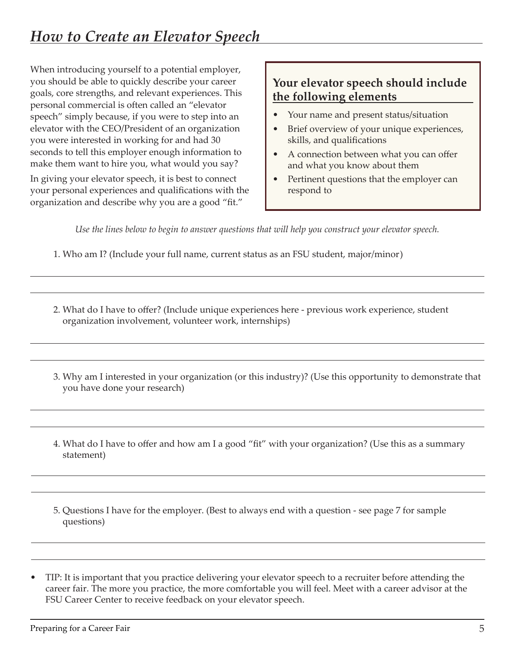When introducing yourself to a potential employer, you should be able to quickly describe your career goals, core strengths, and relevant experiences. This personal commercial is often called an "elevator speech" simply because, if you were to step into an elevator with the CEO/President of an organization you were interested in working for and had 30 seconds to tell this employer enough information to make them want to hire you, what would you say?

In giving your elevator speech, it is best to connect your personal experiences and qualifications with the organization and describe why you are a good "fit."

# **Your elevator speech should include the following elements**

- Your name and present status/situation
- Brief overview of your unique experiences, skills, and qualifications
- A connection between what you can offer and what you know about them
- Pertinent questions that the employer can respond to

*Use the lines below to begin to answer questions that will help you construct your elevator speech.*

1. Who am I? (Include your full name, current status as an FSU student, major/minor)

- 2. What do I have to offer? (Include unique experiences here previous work experience, student organization involvement, volunteer work, internships)
- 3. Why am I interested in your organization (or this industry)? (Use this opportunity to demonstrate that you have done your research)
- 4. What do I have to offer and how am I a good "fit" with your organization? (Use this as a summary statement)
- 5. Questions I have for the employer. (Best to always end with a question see page 7 for sample questions)
- TIP: It is important that you practice delivering your elevator speech to a recruiter before attending the career fair. The more you practice, the more comfortable you will feel. Meet with a career advisor at the FSU Career Center to receive feedback on your elevator speech.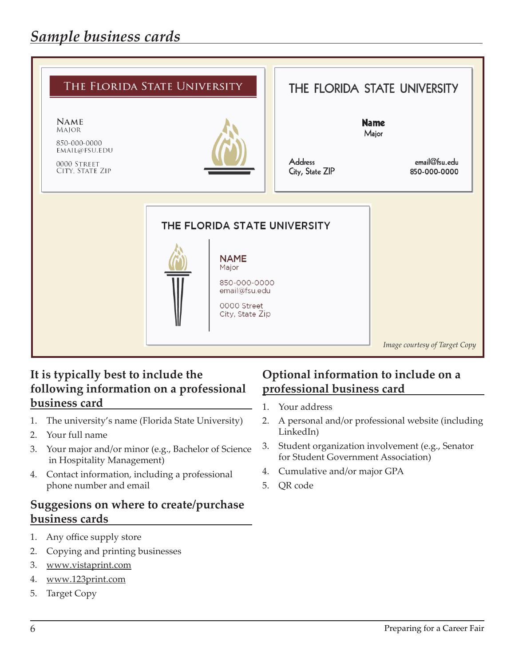

#### **It is typically best to include the following information on a professional business card**

- 1. The university's name (Florida State University)
- 2. Your full name
- 3. Your major and/or minor (e.g., Bachelor of Science in Hospitality Management)
- 4. Contact information, including a professional phone number and email

#### **Suggesions on where to create/purchase business cards**

- 1. Any office supply store
- 2. Copying and printing businesses
- 3. www.vistaprint.com
- 4. www.123print.com
- 5. Target Copy

#### **Optional information to include on a professional business card**

- 1. Your address
- 2. A personal and/or professional website (including LinkedIn)
- 3. Student organization involvement (e.g., Senator for Student Government Association)
- 4. Cumulative and/or major GPA
- 5. QR code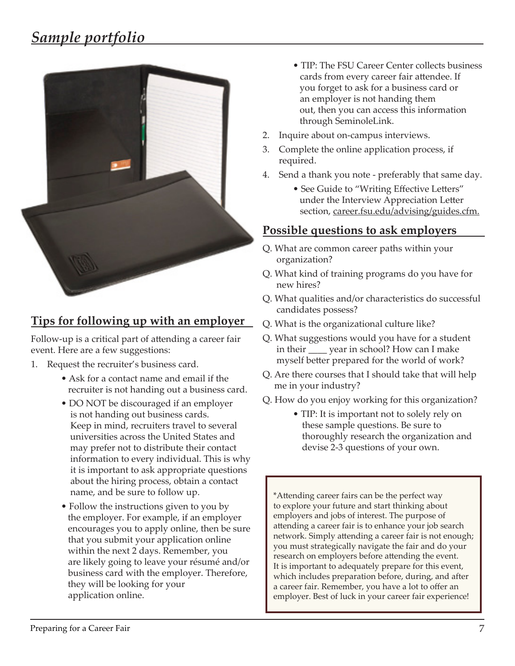# *Sample portfolio*



# **Tips for following up with an employer**

Follow-up is a critical part of attending a career fair event. Here are a few suggestions:

- 1. Request the recruiter's business card.
	- Ask for a contact name and email if the recruiter is not handing out a business card.
	- DO NOT be discouraged if an employer is not handing out business cards. Keep in mind, recruiters travel to several universities across the United States and may prefer not to distribute their contact information to every individual. This is why it is important to ask appropriate questions about the hiring process, obtain a contact name, and be sure to follow up.
	- Follow the instructions given to you by the employer. For example, if an employer encourages you to apply online, then be sure that you submit your application online within the next 2 days. Remember, you are likely going to leave your résumé and/or business card with the employer. Therefore, they will be looking for your application online.
- TIP: The FSU Career Center collects business cards from every career fair attendee. If you forget to ask for a business card or an employer is not handing them out, then you can access this information through SeminoleLink.
- 2. Inquire about on-campus interviews.
- 3. Complete the online application process, if required.
- 4. Send a thank you note preferably that same day.
	- See Guide to "Writing Effective Letters" under the Interview Appreciation Letter section, career.fsu.edu/advising/guides.cfm.

#### **Possible questions to ask employers**

- Q. What are common career paths within your organization?
- Q. What kind of training programs do you have for new hires?
- Q. What qualities and/or characteristics do successful candidates possess?
- Q. What is the organizational culture like?
- Q. What suggestions would you have for a student in their \_\_\_\_ year in school? How can I make myself better prepared for the world of work?
- Q. Are there courses that I should take that will help me in your industry?
- Q. How do you enjoy working for this organization?
	- TIP: It is important not to solely rely on these sample questions. Be sure to thoroughly research the organization and devise 2-3 questions of your own.

\*Attending career fairs can be the perfect way to explore your future and start thinking about employers and jobs of interest. The purpose of attending a career fair is to enhance your job search network. Simply attending a career fair is not enough; you must strategically navigate the fair and do your research on employers before attending the event. It is important to adequately prepare for this event, which includes preparation before, during, and after a career fair. Remember, you have a lot to offer an employer. Best of luck in your career fair experience!